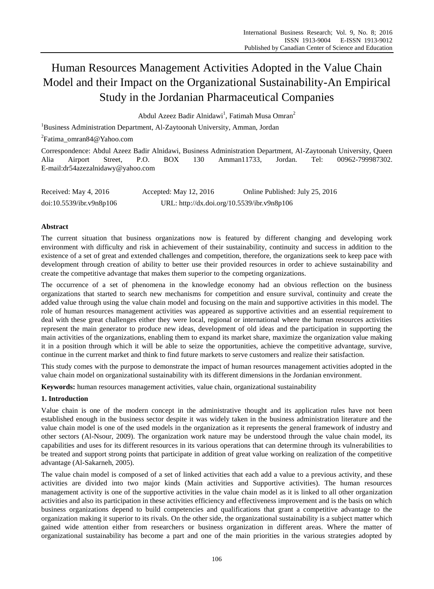# Human Resources Management Activities Adopted in the Value Chain Model and their Impact on the Organizational Sustainability-An Empirical Study in the Jordanian Pharmaceutical Companies

Abdul Azeez Badir Alnidawi<sup>1</sup>, Fatimah Musa Omran<sup>2</sup>

<sup>1</sup>Business Administration Department, Al-Zaytoonah University, Amman, Jordan

2 Fatima\_omran84@Yahoo.com

Correspondence: Abdul Azeez Badir Alnidawi, Business Administration Department, Al-Zaytoonah University, Queen Alia Airport Street, P.O. BOX 130 Amman11733, Jordan. Tel: 00962-799987302. E-mail:dr54azezalnidawy@yahoo.com

| Received: May 4, 2016    | Accepted: May 12, $2016$                    | Online Published: July 25, 2016 |
|--------------------------|---------------------------------------------|---------------------------------|
| doi:10.5539/ibr.v9n8p106 | URL: http://dx.doi.org/10.5539/ibr.v9n8p106 |                                 |

## **Abstract**

The current situation that business organizations now is featured by different changing and developing work environment with difficulty and risk in achievement of their sustainability, continuity and success in addition to the existence of a set of great and extended challenges and competition, therefore, the organizations seek to keep pace with development through creation of ability to better use their provided resources in order to achieve sustainability and create the competitive advantage that makes them superior to the competing organizations.

The occurrence of a set of phenomena in the knowledge economy had an obvious reflection on the business organizations that started to search new mechanisms for competition and ensure survival, continuity and create the added value through using the value chain model and focusing on the main and supportive activities in this model. The role of human resources management activities was appeared as supportive activities and an essential requirement to deal with these great challenges either they were local, regional or international where the human resources activities represent the main generator to produce new ideas, development of old ideas and the participation in supporting the main activities of the organizations, enabling them to expand its market share, maximize the organization value making it in a position through which it will be able to seize the opportunities, achieve the competitive advantage, survive, continue in the current market and think to find future markets to serve customers and realize their satisfaction.

This study comes with the purpose to demonstrate the impact of human resources management activities adopted in the value chain model on organizational sustainability with its different dimensions in the Jordanian environment.

**Keywords:** human resources management activities, value chain, organizational sustainability

# **1. Introduction**

Value chain is one of the modern concept in the administrative thought and its application rules have not been established enough in the business sector despite it was widely taken in the business administration literature and the value chain model is one of the used models in the organization as it represents the general framework of industry and other sectors (Al-Nsour, 2009). The organization work nature may be understood through the value chain model, its capabilities and uses for its different resources in its various operations that can determine through its vulnerabilities to be treated and support strong points that participate in addition of great value working on realization of the competitive advantage (Al-Sakarneh, 2005).

The value chain model is composed of a set of linked activities that each add a value to a previous activity, and these activities are divided into two major kinds (Main activities and Supportive activities). The human resources management activity is one of the supportive activities in the value chain model as it is linked to all other organization activities and also its participation in these activities efficiency and effectiveness improvement and is the basis on which business organizations depend to build competencies and qualifications that grant a competitive advantage to the organization making it superior to its rivals. On the other side, the organizational sustainability is a subject matter which gained wide attention either from researchers or business organization in different areas. Where the matter of organizational sustainability has become a part and one of the main priorities in the various strategies adopted by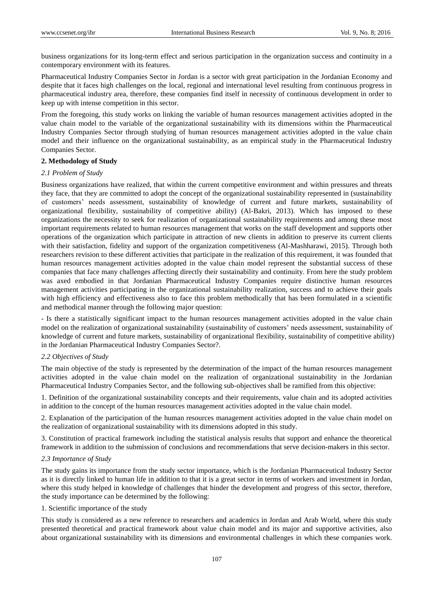business organizations for its long-term effect and serious participation in the organization success and continuity in a contemporary environment with its features.

Pharmaceutical Industry Companies Sector in Jordan is a sector with great participation in the Jordanian Economy and despite that it faces high challenges on the local, regional and international level resulting from continuous progress in pharmaceutical industry area, therefore, these companies find itself in necessity of continuous development in order to keep up with intense competition in this sector.

From the foregoing, this study works on linking the variable of human resources management activities adopted in the value chain model to the variable of the organizational sustainability with its dimensions within the Pharmaceutical Industry Companies Sector through studying of human resources management activities adopted in the value chain model and their influence on the organizational sustainability, as an empirical study in the Pharmaceutical Industry Companies Sector.

#### **2. Methodology of Study**

## *2.1 Problem of Study*

Business organizations have realized, that within the current competitive environment and within pressures and threats they face, that they are committed to adopt the concept of the organizational sustainability represented in (sustainability of customers' needs assessment, sustainability of knowledge of current and future markets, sustainability of organizational flexibility, sustainability of competitive ability) (Al-Bakri, 2013). Which has imposed to these organizations the necessity to seek for realization of organizational sustainability requirements and among these most important requirements related to human resources management that works on the staff development and supports other operations of the organization which participate in attraction of new clients in addition to preserve its current clients with their satisfaction, fidelity and support of the organization competitiveness (Al-Mashharawi, 2015). Through both researchers revision to these different activities that participate in the realization of this requirement, it was founded that human resources management activities adopted in the value chain model represent the substantial success of these companies that face many challenges affecting directly their sustainability and continuity. From here the study problem was axed embodied in that Jordanian Pharmaceutical Industry Companies require distinctive human resources management activities participating in the organizational sustainability realization, success and to achieve their goals with high efficiency and effectiveness also to face this problem methodically that has been formulated in a scientific and methodical manner through the following major question:

- Is there a statistically significant impact to the human resources management activities adopted in the value chain model on the realization of organizational sustainability (sustainability of customers' needs assessment, sustainability of knowledge of current and future markets, sustainability of organizational flexibility, sustainability of competitive ability) in the Jordanian Pharmaceutical Industry Companies Sector?.

## *2.2 Objectives of Study*

The main objective of the study is represented by the determination of the impact of the human resources management activities adopted in the value chain model on the realization of organizational sustainability in the Jordanian Pharmaceutical Industry Companies Sector, and the following sub-objectives shall be ramified from this objective:

1. Definition of the organizational sustainability concepts and their requirements, value chain and its adopted activities in addition to the concept of the human resources management activities adopted in the value chain model.

2. Explanation of the participation of the human resources management activities adopted in the value chain model on the realization of organizational sustainability with its dimensions adopted in this study.

3. Constitution of practical framework including the statistical analysis results that support and enhance the theoretical framework in addition to the submission of conclusions and recommendations that serve decision-makers in this sector.

#### *2.3 Importance of Study*

The study gains its importance from the study sector importance, which is the Jordanian Pharmaceutical Industry Sector as it is directly linked to human life in addition to that it is a great sector in terms of workers and investment in Jordan, where this study helped in knowledge of challenges that hinder the development and progress of this sector, therefore, the study importance can be determined by the following:

#### 1. Scientific importance of the study

This study is considered as a new reference to researchers and academics in Jordan and Arab World, where this study presented theoretical and practical framework about value chain model and its major and supportive activities, also about organizational sustainability with its dimensions and environmental challenges in which these companies work.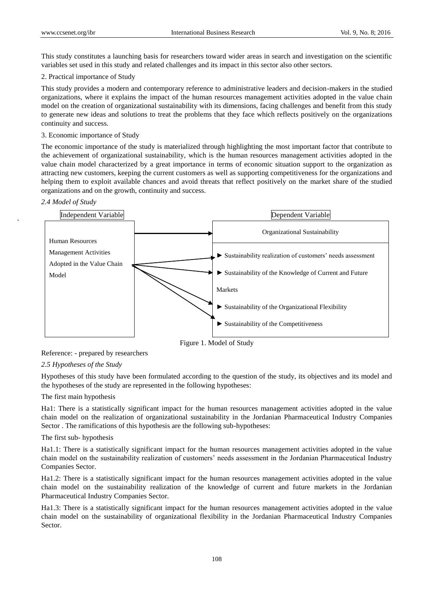This study constitutes a launching basis for researchers toward wider areas in search and investigation on the scientific variables set used in this study and related challenges and its impact in this sector also other sectors.

## 2. Practical importance of Study

This study provides a modern and contemporary reference to administrative leaders and decision-makers in the studied organizations, where it explains the impact of the human resources management activities adopted in the value chain model on the creation of organizational sustainability with its dimensions, facing challenges and benefit from this study to generate new ideas and solutions to treat the problems that they face which reflects positively on the organizations continuity and success.

## 3. Economic importance of Study

The economic importance of the study is materialized through highlighting the most important factor that contribute to the achievement of organizational sustainability, which is the human resources management activities adopted in the value chain model characterized by a great importance in terms of economic situation support to the organization as attracting new customers, keeping the current customers as well as supporting competitiveness for the organizations and helping them to exploit available chances and avoid threats that reflect positively on the market share of the studied organizations and on the growth, continuity and success.

## *2.4 Model of Study*





## Reference: - prepared by researchers

## *2.5 Hypotheses of the Study*

Hypotheses of this study have been formulated according to the question of the study, its objectives and its model and the hypotheses of the study are represented in the following hypotheses:

## The first main hypothesis

Ha1: There is a statistically significant impact for the human resources management activities adopted in the value chain model on the realization of organizational sustainability in the Jordanian Pharmaceutical Industry Companies Sector . The ramifications of this hypothesis are the following sub-hypotheses:

#### The first sub- hypothesis

Ha1.1: There is a statistically significant impact for the human resources management activities adopted in the value chain model on the sustainability realization of customers' needs assessment in the Jordanian Pharmaceutical Industry Companies Sector.

Ha1.2: There is a statistically significant impact for the human resources management activities adopted in the value chain model on the sustainability realization of the knowledge of current and future markets in the Jordanian Pharmaceutical Industry Companies Sector.

Ha1.3: There is a statistically significant impact for the human resources management activities adopted in the value chain model on the sustainability of organizational flexibility in the Jordanian Pharmaceutical Industry Companies Sector.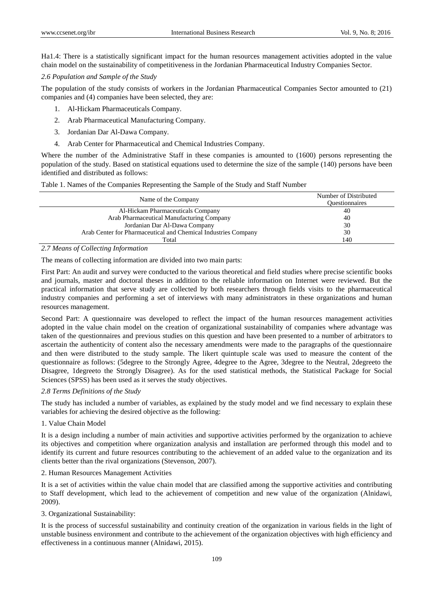Ha1.4: There is a statistically significant impact for the human resources management activities adopted in the value chain model on the sustainability of competitiveness in the Jordanian Pharmaceutical Industry Companies Sector.

## *2.6 Population and Sample of the Study*

The population of the study consists of workers in the Jordanian Pharmaceutical Companies Sector amounted to (21) companies and (4) companies have been selected, they are:

- 1. Al-Hickam Pharmaceuticals Company.
- 2. Arab Pharmaceutical Manufacturing Company.
- 3. Jordanian Dar Al-Dawa Company.
- 4. Arab Center for Pharmaceutical and Chemical Industries Company.

Where the number of the Administrative Staff in these companies is amounted to (1600) persons representing the population of the study. Based on statistical equations used to determine the size of the sample (140) persons have been identified and distributed as follows:

Table 1. Names of the Companies Representing the Sample of the Study and Staff Number

|                                                                | Number of Distributed |
|----------------------------------------------------------------|-----------------------|
| Name of the Company                                            | <b>Ouestionnaires</b> |
| Al-Hickam Pharmaceuticals Company                              | 40                    |
| Arab Pharmaceutical Manufacturing Company                      | 40                    |
| Jordanian Dar Al-Dawa Company                                  | 30                    |
| Arab Center for Pharmaceutical and Chemical Industries Company | 30                    |
| Total                                                          | 140                   |

# *2.7 Means of Collecting Information*

The means of collecting information are divided into two main parts:

First Part: An audit and survey were conducted to the various theoretical and field studies where precise scientific books and journals, master and doctoral theses in addition to the reliable information on Internet were reviewed. But the practical information that serve study are collected by both researchers through fields visits to the pharmaceutical industry companies and performing a set of interviews with many administrators in these organizations and human resources management.

Second Part: A questionnaire was developed to reflect the impact of the human resources management activities adopted in the value chain model on the creation of organizational sustainability of companies where advantage was taken of the questionnaires and previous studies on this question and have been presented to a number of arbitrators to ascertain the authenticity of content also the necessary amendments were made to the paragraphs of the questionnaire and then were distributed to the study sample. The likert quintuple scale was used to measure the content of the questionnaire as follows: (5degree to the Strongly Agree, 4degree to the Agree, 3degree to the Neutral, 2degreeto the Disagree, 1degreeto the Strongly Disagree). As for the used statistical methods, the Statistical Package for Social Sciences (SPSS) has been used as it serves the study objectives.

## *2.8 Terms Definitions of the Study*

The study has included a number of variables, as explained by the study model and we find necessary to explain these variables for achieving the desired objective as the following:

## 1. Value Chain Model

It is a design including a number of main activities and supportive activities performed by the organization to achieve its objectives and competition where organization analysis and installation are performed through this model and to identify its current and future resources contributing to the achievement of an added value to the organization and its clients better than the rival organizations (Stevenson, 2007).

## 2. Human Resources Management Activities

It is a set of activities within the value chain model that are classified among the supportive activities and contributing to Staff development, which lead to the achievement of competition and new value of the organization (Alnidawi, 2009).

## 3. Organizational Sustainability:

It is the process of successful sustainability and continuity creation of the organization in various fields in the light of unstable business environment and contribute to the achievement of the organization objectives with high efficiency and effectiveness in a continuous manner (Alnidawi, 2015).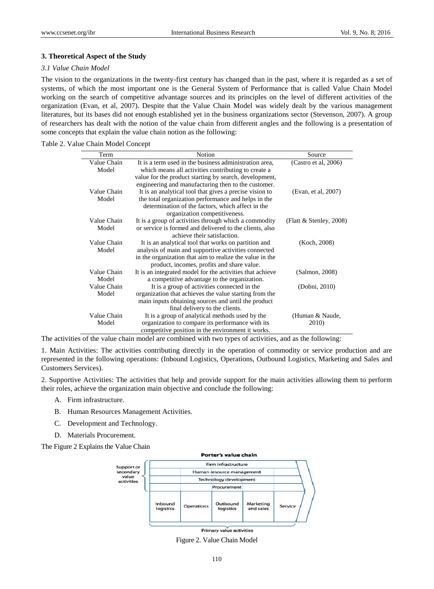#### **3. Theoretical Aspect of the Study**

## *3.1 Value Chain Model*

The vision to the organizations in the twenty-first century has changed than in the past, where it is regarded as a set of systems, of which the most important one is the General System of Performance that is called Value Chain Model working on the search of competitive advantage sources and its principles on the level of different activities of the organization (Evan, et al, 2007). Despite that the Value Chain Model was widely dealt by the various management literatures, but its bases did not enough established yet in the business organizations sector (Stevenson, 2007). A group of researchers has dealt with the notion of the value chain from different angles and the following is a presentation of some concepts that explain the value chain notion as the following:

#### Table 2. Value Chain Model Concept

| Term                 | Notion                                                                                                                                                                                                                 | Source                   |
|----------------------|------------------------------------------------------------------------------------------------------------------------------------------------------------------------------------------------------------------------|--------------------------|
| Value Chain<br>Model | It is a term used in the business administration area,<br>which means all activities contributing to create a                                                                                                          | (Castro et al, 2006)     |
| Value Chain          | value for the product starting by search, development,<br>engineering and manufacturing then to the customer.<br>It is an analytical tool that gives a precise vision to                                               | (Evan, et al, 2007)      |
| Model                | the total organization performance and helps in the<br>determination of the factors, which affect in the<br>organization competitiveness.                                                                              |                          |
| Value Chain<br>Model | It is a group of activities through which a commodity<br>or service is formed and delivered to the clients, also<br>achieve their satisfaction.                                                                        | (Flatt & Stenley, 2008)  |
| Value Chain<br>Model | It is an analytical tool that works on partition and<br>analysis of main and supportive activities connected<br>in the organization that aim to realize the value in the<br>product, incomes, profits and share value. | (Koch, 2008)             |
| Value Chain<br>Model | It is an integrated model for the activities that achieve<br>a competitive advantage to the organization.                                                                                                              | (Salmon, 2008)           |
| Value Chain<br>Model | It is a group of activities connected in the<br>organization that achieves the value starting from the<br>main inputs obtaining sources and until the product<br>final delivery to the clients.                        | (Dobni, 2010)            |
| Value Chain<br>Model | It is a group of analytical methods used by the<br>organization to compare its performance with its<br>competitive position in the environment it works.                                                               | (Human & Naude,<br>2010) |

The activities of the value chain model are combined with two types of activities, and as the following:

1. Main Activities: The activities contributing directly in the operation of commodity or service production and are represented in the following operations: (Inbound Logistics, Operations, Outbound Logistics, Marketing and Sales and Customers Services).

2. Supportive Activities: The activities that help and provide support for the main activities allowing them to perform their roles, achieve the organization main objective and conclude the following:

- A. Firm infrastructure.
- B. Human Resources Management Activities.
- C. Development and Technology.
- D. Materials Procurement.

The Figure 2 Explains the Value Chain



Figure 2. Value Chain Model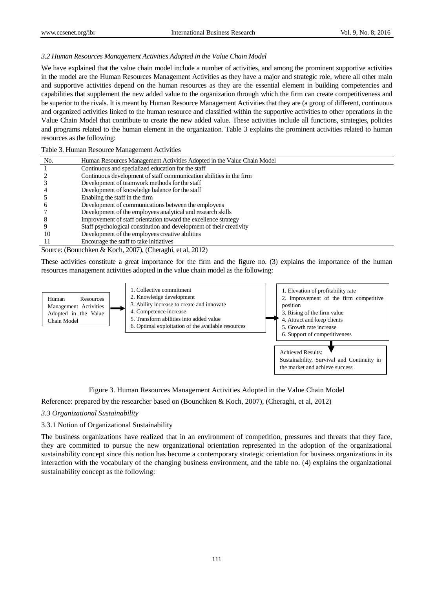## *3.2 Human Resources Management Activities Adopted in the Value Chain Model*

We have explained that the value chain model include a number of activities, and among the prominent supportive activities in the model are the Human Resources Management Activities as they have a major and strategic role, where all other main and supportive activities depend on the human resources as they are the essential element in building competencies and capabilities that supplement the new added value to the organization through which the firm can create competitiveness and be superior to the rivals. It is meant by Human Resource Management Activities that they are (a group of different, continuous and organized activities linked to the human resource and classified within the supportive activities to other operations in the Value Chain Model that contribute to create the new added value. These activities include all functions, strategies, policies and programs related to the human element in the organization. Table 3 explains the prominent activities related to human resources as the following:

| Table 3. Human Resource Management Activities |  |
|-----------------------------------------------|--|
|-----------------------------------------------|--|

| No. | Human Resources Management Activities Adopted in the Value Chain Model |
|-----|------------------------------------------------------------------------|
|     | Continuous and specialized education for the staff                     |
|     | Continuous development of staff communication abilities in the firm    |
|     | Development of teamwork methods for the staff                          |
|     | Development of knowledge balance for the staff                         |
|     | Enabling the staff in the firm                                         |
| o   | Development of communications between the employees                    |
|     | Development of the employees analytical and research skills            |
| 8   | Improvement of staff orientation toward the excellence strategy        |
|     | Staff psychological constitution and development of their creativity   |
| 10  | Development of the employees creative abilities                        |
|     | Encourage the staff to take initiatives                                |

Source: (Bounchken & Koch, 2007), (Cheraghi, et al, 2012)

These activities constitute a great importance for the firm and the figure no. (3) explains the importance of the human resources management activities adopted in the value chain model as the following:



## Figure 3. Human Resources Management Activities Adopted in the Value Chain Model

Reference: prepared by the researcher based on (Bounchken & Koch, 2007), (Cheraghi, et al, 2012)

## *3.3 Organizational Sustainability*

#### 3.3.1 Notion of Organizational Sustainability

The business organizations have realized that in an environment of competition, pressures and threats that they face, they are committed to pursue the new organizational orientation represented in the adoption of the organizational sustainability concept since this notion has become a contemporary strategic orientation for business organizations in its interaction with the vocabulary of the changing business environment, and the table no. (4) explains the organizational sustainability concept as the following: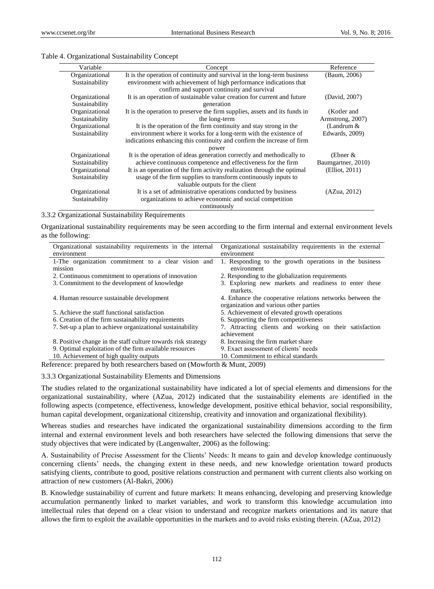#### Table 4. Organizational Sustainability Concept

| Variable       | Concept                                                                    | Reference          |
|----------------|----------------------------------------------------------------------------|--------------------|
| Organizational | It is the operation of continuity and survival in the long-term business   | (Baum, 2006)       |
| Sustainability | environment with achievement of high performance indications that          |                    |
|                | confirm and support continuity and survival                                |                    |
| Organizational | It is an operation of sustainable value creation for current and future    | (David, 2007)      |
| Sustainability | generation                                                                 |                    |
| Organizational | It is the operation to preserve the firm supplies, assets and its funds in | (Kotler and        |
| Sustainability | the long-term                                                              | Armstrong, 2007)   |
| Organizational | It is the operation of the firm continuity and stay strong in the          | (Landrum &         |
| Sustainability | environment where it works for a long-term with the existence of           | Edwards, 2009)     |
|                | indications enhancing this continuity and confirm the increase of firm     |                    |
|                | power                                                                      |                    |
| Organizational | It is the operation of ideas generation correctly and methodically to      | (Ebner $\&$        |
| Sustainability | achieve continuous competence and effectiveness for the firm               | Baumgartner, 2010) |
| Organizational | It is an operation of the firm activity realization through the optimal    | (Elliot, 2011)     |
| Sustainability | usage of the firm supplies to transform continuously inputs to             |                    |
|                | valuable outputs for the client                                            |                    |
| Organizational | It is a set of administrative operations conducted by business             | (AZua, 2012)       |
| Sustainability | organizations to achieve economic and social competition                   |                    |
|                | continuously                                                               |                    |

## 3.3.2 Organizational Sustainability Requirements

Organizational sustainability requirements may be seen according to the firm internal and external environment levels as the following:

| Organizational sustainability requirements in the external                                                                                                                                                                                                                                                                         |
|------------------------------------------------------------------------------------------------------------------------------------------------------------------------------------------------------------------------------------------------------------------------------------------------------------------------------------|
| environment                                                                                                                                                                                                                                                                                                                        |
| 1. Responding to the growth operations in the business                                                                                                                                                                                                                                                                             |
| environment                                                                                                                                                                                                                                                                                                                        |
| 2. Responding to the globalization requirements                                                                                                                                                                                                                                                                                    |
| 3. Exploring new markets and readiness to enter these<br>markets.                                                                                                                                                                                                                                                                  |
| 4. Enhance the cooperative relations networks between the<br>organization and various other parties                                                                                                                                                                                                                                |
| 5. Achievement of elevated growth operations                                                                                                                                                                                                                                                                                       |
| 6. Supporting the firm competitiveness                                                                                                                                                                                                                                                                                             |
| 7. Attracting clients and working on their satisfaction<br>achievement                                                                                                                                                                                                                                                             |
| 8. Increasing the firm market share                                                                                                                                                                                                                                                                                                |
| 9. Exact assessment of clients' needs                                                                                                                                                                                                                                                                                              |
| 10. Commitment to ethical standards                                                                                                                                                                                                                                                                                                |
| $\mathbf{1}$ $\mathbf{1}$ $\mathbf{1}$ $\mathbf{1}$ $\mathbf{1}$ $\mathbf{1}$ $\mathbf{1}$ $\mathbf{1}$ $\mathbf{1}$ $\mathbf{1}$ $\mathbf{1}$ $\mathbf{1}$ $\mathbf{1}$ $\mathbf{1}$ $\mathbf{1}$ $\mathbf{1}$ $\mathbf{1}$ $\mathbf{1}$ $\mathbf{1}$ $\mathbf{1}$ $\mathbf{1}$ $\mathbf{1}$ $\mathbf{1}$ $\mathbf{1}$ $\mathbf{$ |

Reference: prepared by both researchers based on (Mowforth & Munt, 2009)

3.3.3 Organizational Sustainability Elements and Dimensions

The studies related to the organizational sustainability have indicated a lot of special elements and dimensions for the organizational sustainability, where (AZua, 2012) indicated that the sustainability elements are identified in the following aspects (competence, effectiveness, knowledge development, positive ethical behavior, social responsibility, human capital development, organizational citizenship, creativity and innovation and organizational flexibility).

Whereas studies and researches have indicated the organizational sustainability dimensions according to the firm internal and external environment levels and both researchers have selected the following dimensions that serve the study objectives that were indicated by (Langenwalter, 2006) as the following:

A. Sustainability of Precise Assessment for the Clients' Needs: It means to gain and develop knowledge continuously concerning clients' needs, the changing extent in these needs, and new knowledge orientation toward products satisfying clients, contribute to good, positive relations construction and permanent with current clients also working on attraction of new customers (Al-Bakri, 2006)

B. Knowledge sustainability of current and future markets: It means enhancing, developing and preserving knowledge accumulation permanently linked to market variables, and work to transform this knowledge accumulation into intellectual rules that depend on a clear vision to understand and recognize markets orientations and its nature that allows the firm to exploit the available opportunities in the markets and to avoid risks existing therein. (AZua, 2012)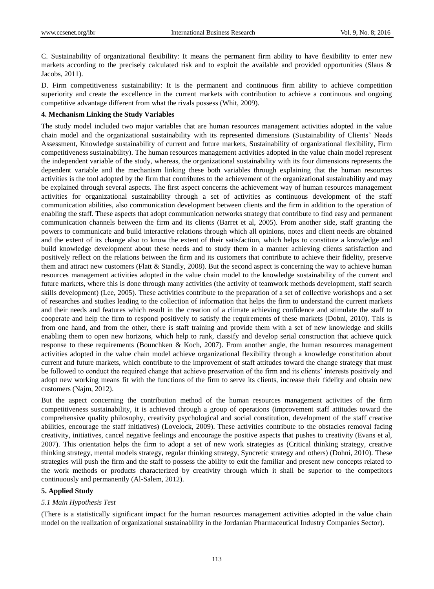C. Sustainability of organizational flexibility: It means the permanent firm ability to have flexibility to enter new markets according to the precisely calculated risk and to exploit the available and provided opportunities (Slaus & Jacobs, 2011).

D. Firm competitiveness sustainability: It is the permanent and continuous firm ability to achieve competition superiority and create the excellence in the current markets with contribution to achieve a continuous and ongoing competitive advantage different from what the rivals possess (Whit, 2009).

## **4. Mechanism Linking the Study Variables**

The study model included two major variables that are human resources management activities adopted in the value chain model and the organizational sustainability with its represented dimensions (Sustainability of Clients' Needs Assessment, Knowledge sustainability of current and future markets, Sustainability of organizational flexibility, Firm competitiveness sustainability). The human resources management activities adopted in the value chain model represent the independent variable of the study, whereas, the organizational sustainability with its four dimensions represents the dependent variable and the mechanism linking these both variables through explaining that the human resources activities is the tool adopted by the firm that contributes to the achievement of the organizational sustainability and may be explained through several aspects. The first aspect concerns the achievement way of human resources management activities for organizational sustainability through a set of activities as continuous development of the staff communication abilities, also communication development between clients and the firm in addition to the operation of enabling the staff. These aspects that adopt communication networks strategy that contribute to find easy and permanent communication channels between the firm and its clients (Barret et al, 2005). From another side, staff granting the powers to communicate and build interactive relations through which all opinions, notes and client needs are obtained and the extent of its change also to know the extent of their satisfaction, which helps to constitute a knowledge and build knowledge development about these needs and to study them in a manner achieving clients satisfaction and positively reflect on the relations between the firm and its customers that contribute to achieve their fidelity, preserve them and attract new customers (Flatt & Standly, 2008). But the second aspect is concerning the way to achieve human resources management activities adopted in the value chain model to the knowledge sustainability of the current and future markets, where this is done through many activities (the activity of teamwork methods development, staff search skills development) (Lee, 2005). These activities contribute to the preparation of a set of collective workshops and a set of researches and studies leading to the collection of information that helps the firm to understand the current markets and their needs and features which result in the creation of a climate achieving confidence and stimulate the staff to cooperate and help the firm to respond positively to satisfy the requirements of these markets (Dobni, 2010). This is from one hand, and from the other, there is staff training and provide them with a set of new knowledge and skills enabling them to open new horizons, which help to rank, classify and develop serial construction that achieve quick response to these requirements (Bounchken & Koch, 2007). From another angle, the human resources management activities adopted in the value chain model achieve organizational flexibility through a knowledge constitution about current and future markets, which contribute to the improvement of staff attitudes toward the change strategy that must be followed to conduct the required change that achieve preservation of the firm and its clients' interests positively and adopt new working means fit with the functions of the firm to serve its clients, increase their fidelity and obtain new customers (Najm, 2012).

But the aspect concerning the contribution method of the human resources management activities of the firm competitiveness sustainability, it is achieved through a group of operations (improvement staff attitudes toward the comprehensive quality philosophy, creativity psychological and social constitution, development of the staff creative abilities, encourage the staff initiatives) (Lovelock, 2009). These activities contribute to the obstacles removal facing creativity, initiatives, cancel negative feelings and encourage the positive aspects that pushes to creativity (Evans et al, 2007). This orientation helps the firm to adopt a set of new work strategies as (Critical thinking strategy, creative thinking strategy, mental models strategy, regular thinking strategy, Syncretic strategy and others) (Dohni, 2010). These strategies will push the firm and the staff to possess the ability to exit the familiar and present new concepts related to the work methods or products characterized by creativity through which it shall be superior to the competitors continuously and permanently (Al-Salem, 2012).

## **5. Applied Study**

#### *5.1 Main Hypothesis Test*

(There is a statistically significant impact for the human resources management activities adopted in the value chain model on the realization of organizational sustainability in the Jordanian Pharmaceutical Industry Companies Sector).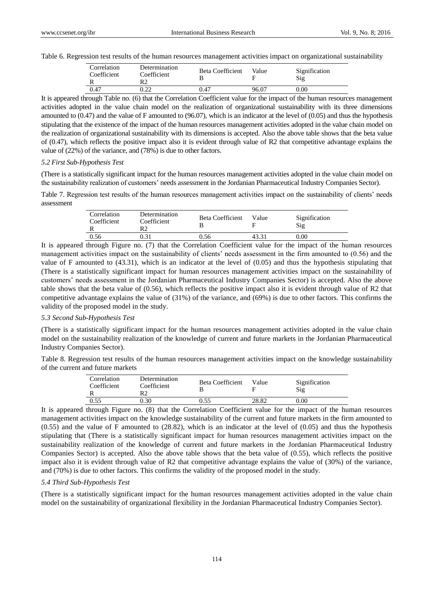Table 6. Regression test results of the human resources management activities impact on organizational sustainability

| Correlation<br>Coefficient | Determination<br>Coefficient | Beta Coefficient | Value | Signification<br>Sig |
|----------------------------|------------------------------|------------------|-------|----------------------|
| 0.47                       | 0.22                         | 0.47             | 96.07 | $0.00\,$             |
|                            |                              |                  |       |                      |

It is appeared through Table no. (6) that the Correlation Coefficient value for the impact of the human resources management activities adopted in the value chain model on the realization of organizational sustainability with its three dimensions amounted to (0.47) and the value of F amounted to (96.07), which is an indicator at the level of (0.05) and thus the hypothesis stipulating that the existence of the impact of the human resources management activities adopted in the value chain model on the realization of organizational sustainability with its dimensions is accepted. Also the above table shows that the beta value of (0.47), which reflects the positive impact also it is evident through value of R2 that competitive advantage explains the value of (22%) of the variance, and (78%) is due to other factors.

#### *5.2 First Sub-Hypothesis Test*

(There is a statistically significant impact for the human resources management activities adopted in the value chain model on the sustainability realization of customers' needs assessment in the Jordanian Pharmaceutical Industry Companies Sector).

Table 7. Regression test results of the human resources management activities impact on the sustainability of clients' needs assessment

| Correlation<br>Coefficient | Determination<br>Coefficient<br>R2 | Beta Coefficient | Value | Signification<br>$\mathrm{Sig}$ |
|----------------------------|------------------------------------|------------------|-------|---------------------------------|
| 0.56                       | 0.31                               | 0.56             |       | 0.00                            |
|                            |                                    |                  |       |                                 |

It is appeared through Figure no. (7) that the Correlation Coefficient value for the impact of the human resources management activities impact on the sustainability of clients' needs assessment in the firm amounted to (0.56) and the value of F amounted to (43.31), which is an indicator at the level of (0.05) and thus the hypothesis stipulating that (There is a statistically significant impact for human resources management activities impact on the sustainability of customers' needs assessment in the Jordanian Pharmaceutical Industry Companies Sector) is accepted. Also the above table shows that the beta value of (0.56), which reflects the positive impact also it is evident through value of R2 that competitive advantage explains the value of (31%) of the variance, and (69%) is due to other factors. This confirms the validity of the proposed model in the study.

## *5.3 Second Sub-Hypothesis Test*

(There is a statistically significant impact for the human resources management activities adopted in the value chain model on the sustainability realization of the knowledge of current and future markets in the Jordanian Pharmaceutical Industry Companies Sector).

Table 8. Regression test results of the human resources management activities impact on the knowledge sustainability of the current and future markets

| Correlation<br>Coefficient | Determination<br>Coefficient<br>R2 | Beta Coefficient | Value | Signification<br>Sig |
|----------------------------|------------------------------------|------------------|-------|----------------------|
| 0.55                       | 0.30                               | 1.55             | 28.82 | 0.00                 |

It is appeared through Figure no. (8) that the Correlation Coefficient value for the impact of the human resources management activities impact on the knowledge sustainability of the current and future markets in the firm amounted to  $(0.55)$  and the value of F amounted to  $(28.82)$ , which is an indicator at the level of  $(0.05)$  and thus the hypothesis stipulating that (There is a statistically significant impact for human resources management activities impact on the sustainability realization of the knowledge of current and future markets in the Jordanian Pharmaceutical Industry Companies Sector) is accepted. Also the above table shows that the beta value of (0.55), which reflects the positive impact also it is evident through value of R2 that competitive advantage explains the value of (30%) of the variance, and (70%) is due to other factors. This confirms the validity of the proposed model in the study.

## *5.4 Third Sub-Hypothesis Test*

(There is a statistically significant impact for the human resources management activities adopted in the value chain model on the sustainability of organizational flexibility in the Jordanian Pharmaceutical Industry Companies Sector).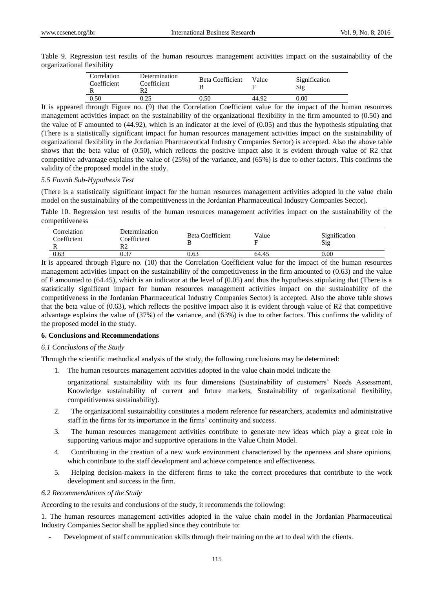Table 9. Regression test results of the human resources management activities impact on the sustainability of the organizational flexibility

| Correlation<br>Coefficient | Determination<br>Coefficient<br>R2 | Beta Coefficient | Value | Signification<br>Sig |
|----------------------------|------------------------------------|------------------|-------|----------------------|
| 0.50                       | 0.25                               | 0.50             | 44.92 | $0.00\,$             |

It is appeared through Figure no. (9) that the Correlation Coefficient value for the impact of the human resources management activities impact on the sustainability of the organizational flexibility in the firm amounted to (0.50) and the value of F amounted to  $(44.92)$ , which is an indicator at the level of  $(0.05)$  and thus the hypothesis stipulating that (There is a statistically significant impact for human resources management activities impact on the sustainability of organizational flexibility in the Jordanian Pharmaceutical Industry Companies Sector) is accepted. Also the above table shows that the beta value of (0.50), which reflects the positive impact also it is evident through value of R2 that competitive advantage explains the value of (25%) of the variance, and (65%) is due to other factors. This confirms the validity of the proposed model in the study.

#### *5.5 Fourth Sub-Hypothesis Test*

(There is a statistically significant impact for the human resources management activities adopted in the value chain model on the sustainability of the competitiveness in the Jordanian Pharmaceutical Industry Companies Sector).

Table 10. Regression test results of the human resources management activities impact on the sustainability of the competitiveness

| Correlation<br>Coefficient | Determination<br>Coefficient<br>$\mathbf{r}$ | Beta Coefficient | Value | Signification<br>Sig |
|----------------------------|----------------------------------------------|------------------|-------|----------------------|
| 0.63                       | $\sim$<br>U.5                                | ).63             | 64.45 | $0.00\,$             |

It is appeared through Figure no. (10) that the Correlation Coefficient value for the impact of the human resources management activities impact on the sustainability of the competitiveness in the firm amounted to (0.63) and the value of F amounted to  $(64.45)$ , which is an indicator at the level of  $(0.05)$  and thus the hypothesis stipulating that (There is a statistically significant impact for human resources management activities impact on the sustainability of the competitiveness in the Jordanian Pharmaceutical Industry Companies Sector) is accepted. Also the above table shows that the beta value of  $(0.63)$ , which reflects the positive impact also it is evident through value of R2 that competitive advantage explains the value of (37%) of the variance, and (63%) is due to other factors. This confirms the validity of the proposed model in the study.

#### **6. Conclusions and Recommendations**

#### *6.1 Conclusions of the Study*

Through the scientific methodical analysis of the study, the following conclusions may be determined:

1. The human resources management activities adopted in the value chain model indicate the

organizational sustainability with its four dimensions (Sustainability of customers' Needs Assessment, Knowledge sustainability of current and future markets, Sustainability of organizational flexibility, competitiveness sustainability).

- 2. The organizational sustainability constitutes a modern reference for researchers, academics and administrative staff in the firms for its importance in the firms' continuity and success.
- 3. The human resources management activities contribute to generate new ideas which play a great role in supporting various major and supportive operations in the Value Chain Model.
- 4. Contributing in the creation of a new work environment characterized by the openness and share opinions, which contribute to the staff development and achieve competence and effectiveness.
- 5. Helping decision-makers in the different firms to take the correct procedures that contribute to the work development and success in the firm.

#### *6.2 Recommendations of the Study*

According to the results and conclusions of the study, it recommends the following:

1. The human resources management activities adopted in the value chain model in the Jordanian Pharmaceutical Industry Companies Sector shall be applied since they contribute to:

Development of staff communication skills through their training on the art to deal with the clients.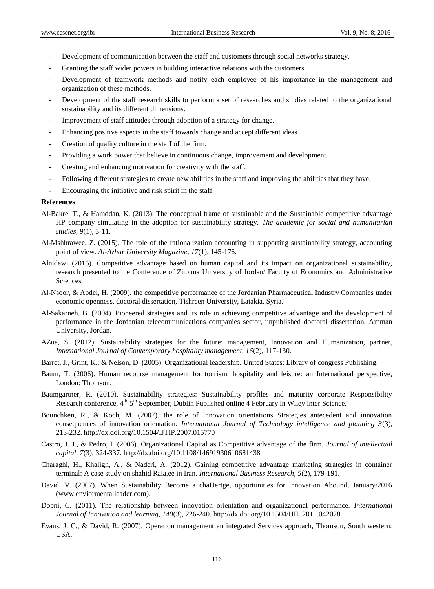- Development of communication between the staff and customers through social networks strategy.
- Granting the staff wider powers in building interactive relations with the customers.
- Development of teamwork methods and notify each employee of his importance in the management and organization of these methods.
- Development of the staff research skills to perform a set of researches and studies related to the organizational sustainability and its different dimensions.
- Improvement of staff attitudes through adoption of a strategy for change.
- Enhancing positive aspects in the staff towards change and accept different ideas.
- Creation of quality culture in the staff of the firm.
- Providing a work power that believe in continuous change, improvement and development.
- Creating and enhancing motivation for creativity with the staff.
- Following different strategies to create new abilities in the staff and improving the abilities that they have.
- Encouraging the initiative and risk spirit in the staff.

#### **References**

- Al-Bakre, T., & Hamddan, K. (2013). The conceptual frame of sustainable and the Sustainable competitive advantage HP company simulating in the adoption for sustainability strategy. *The academic for social and humanitarian studies, 9*(1), 3-11.
- Al-Mshhrawee, Z. (2015). The role of the rationalization accounting in supporting sustainability strategy, accounting point of view. *Al-Azhar University Magazine, 17*(1), 145-176.
- Alnidawi (2015). Competitive advantage based on human capital and its impact on organizational sustainability, research presented to the Conference of Zitouna University of Jordan/ Faculty of Economics and Administrative Sciences.
- Al-Nsoor, & Abdel, H. (2009). the competitive performance of the Jordanian Pharmaceutical Industry Companies under economic openness, doctoral dissertation, Tishreen University, Latakia, Syria.
- Al-Sakarneh, B. (2004). Pioneered strategies and its role in achieving competitive advantage and the development of performance in the Jordanian telecommunications companies sector, unpublished doctoral dissertation, Amman University, Jordan.
- AZua, S. (2012). Sustainability strategies for the future: management, Innovation and Humanization, partner, *International Journal of Contemporary hospitality management, 16*(2), 117-130.
- Barret, J., Grint, K., & Nelson, D. (2005). Organizational leadership. United States: Library of congress Publishing.
- Baum, T. (2006). Human recourse management for tourism, hospitality and leisure: an International perspective, London: Thomson.
- Baumgartner, R. (2010). Sustainability strategies: Sustainability profiles and maturity corporate Responsibility Research conference, 4<sup>th</sup>-5<sup>th</sup> September, Dublin Published online 4 February in Wiley inter Science.
- Bounchken, R., & Koch, M. (2007). the role of Innovation orientations Strategies antecedent and innovation consequences of innovation orientation. *International Journal of Technology intelligence and planning 3*(3), 213-232.<http://dx.doi.org/10.1504/IJTIP.2007.015770>
- Castro, J. J., & Pedro, L (2006). Organizational Capital as Competitive advantage of the firm. *Journal of intellectual capital, 7*(3), 324-337[. http://dx.doi.org/10.1108/14691930610681438](http://dx.doi.org/10.1108/14691930610681438)
- Charaghi, H., Khaligh, A., & Naderi, A. (2012). Gaining competitive advantage marketing strategies in container terminal: A case study on shahid Raia.ee in Iran. *International Business Research, 5*(2), 179-191.
- David, V. (2007). When Sustainability Become a chaUertge, opportunities for innovation Abound, January/2016 (www.enviormentalleader.com).
- Dobni, C. (2011). The relationship between innovation orientation and organizational performance. *International Journal of Innovation and learning, 140*(3), 226-240.<http://dx.doi.org/10.1504/IJIL.2011.042078>
- Evans, J. C., & David, R. (2007). Operation management an integrated Services approach, Thomson, South western: USA.